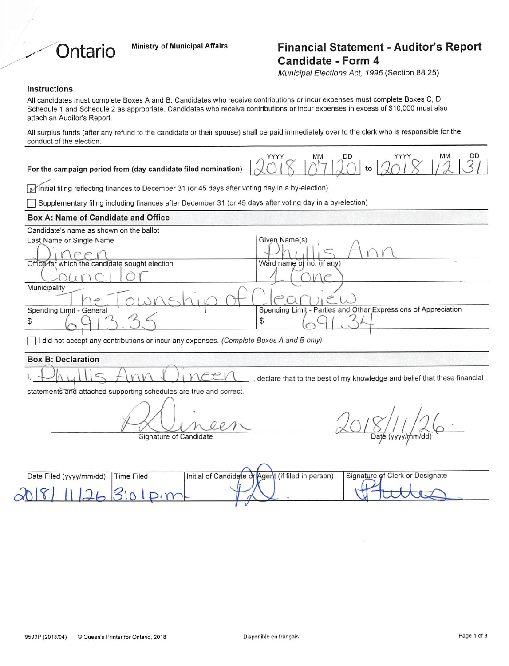

# Ministry of Municipal Affairs **Financial Statement - Auditor's Report** Candidate - Form 4

Municipal Elections Act, 1996 (Section 88.25)

#### Instructions

| All candidates must complete Boxes A and B. Candidates who receive contributions or incur expenses must complete Boxes C, D,<br>Schedule 1 and Schedule 2 as appropriate. Candidates who receive contributions or incur expenses in excess of \$10,000 must also<br>attach an Auditor's Report.                                                                                                                               |
|-------------------------------------------------------------------------------------------------------------------------------------------------------------------------------------------------------------------------------------------------------------------------------------------------------------------------------------------------------------------------------------------------------------------------------|
| All surplus funds (after any refund to the candidate or their spouse) shall be paid immediately over to the clerk who is responsible for the<br>conduct of the election.                                                                                                                                                                                                                                                      |
| DD<br>MM<br>DD<br>YYYY<br>MM<br>YYYY<br>For the campaign period from (day candidate filed nomination)                                                                                                                                                                                                                                                                                                                         |
| Initial filing reflecting finances to December 31 (or 45 days after voting day in a by-election)                                                                                                                                                                                                                                                                                                                              |
| Supplementary filing including finances after December 31 (or 45 days after voting day in a by-election)                                                                                                                                                                                                                                                                                                                      |
| Box A: Name of Candidate and Office                                                                                                                                                                                                                                                                                                                                                                                           |
| Candidate's name as shown on the ballot<br>Given Name(s)<br>Last Name or Single Name<br>Office for which the candidate sought election<br>Ward name of no. (if any)<br>Municipality<br>Spending Limit - Parties and Other Expressions of Appreciation<br>Spending Limit - General<br>\$<br>S<br>$\lceil$ I did not accept any contributions or incur any expenses. (Complete Boxes A and B only)<br><b>Box B: Declaration</b> |
| eev<br>declare that to the best of my knowledge and belief that these financial<br>statements and attached supporting schedules are true and correct.                                                                                                                                                                                                                                                                         |
| Signature of Candidate<br>Daté (yyyy/mm/dd                                                                                                                                                                                                                                                                                                                                                                                    |
| Signature of Clerk or Designate<br>Initial of Candidate or Agent (if filed in person)<br>Date Filed (yyyy/mm/dd)<br><b>Time Filed</b><br>$\Omega$                                                                                                                                                                                                                                                                             |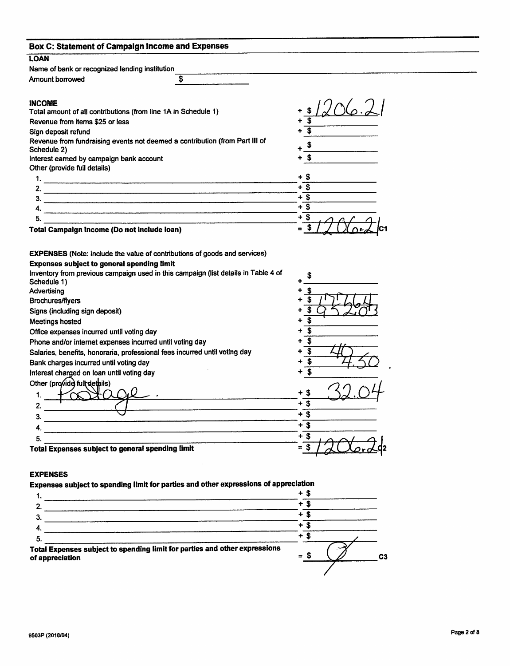| <b>LOAN</b>                                                                                                                                                                                                                                                                                                                                                                                                                     |                                                                                    |                                                              |  |
|---------------------------------------------------------------------------------------------------------------------------------------------------------------------------------------------------------------------------------------------------------------------------------------------------------------------------------------------------------------------------------------------------------------------------------|------------------------------------------------------------------------------------|--------------------------------------------------------------|--|
| Name of bank or recognized lending institution                                                                                                                                                                                                                                                                                                                                                                                  |                                                                                    |                                                              |  |
| Amount borrowed                                                                                                                                                                                                                                                                                                                                                                                                                 | \$                                                                                 |                                                              |  |
|                                                                                                                                                                                                                                                                                                                                                                                                                                 |                                                                                    |                                                              |  |
| <b>INCOME</b>                                                                                                                                                                                                                                                                                                                                                                                                                   |                                                                                    |                                                              |  |
| Total amount of all contributions (from line 1A in Schedule 1)                                                                                                                                                                                                                                                                                                                                                                  |                                                                                    |                                                              |  |
| Revenue from items \$25 or less                                                                                                                                                                                                                                                                                                                                                                                                 |                                                                                    |                                                              |  |
| Sign deposit refund                                                                                                                                                                                                                                                                                                                                                                                                             |                                                                                    |                                                              |  |
| Revenue from fundraising events not deemed a contribution (from Part III of                                                                                                                                                                                                                                                                                                                                                     |                                                                                    |                                                              |  |
| Schedule 2)                                                                                                                                                                                                                                                                                                                                                                                                                     |                                                                                    |                                                              |  |
| Interest earned by campaign bank account                                                                                                                                                                                                                                                                                                                                                                                        |                                                                                    | \$                                                           |  |
| Other (provide full details)                                                                                                                                                                                                                                                                                                                                                                                                    |                                                                                    |                                                              |  |
|                                                                                                                                                                                                                                                                                                                                                                                                                                 |                                                                                    | + \$                                                         |  |
|                                                                                                                                                                                                                                                                                                                                                                                                                                 |                                                                                    | $+$ \$                                                       |  |
| З.                                                                                                                                                                                                                                                                                                                                                                                                                              |                                                                                    | $+$ \$<br>$+$ \$                                             |  |
| 4.                                                                                                                                                                                                                                                                                                                                                                                                                              |                                                                                    |                                                              |  |
| 5.                                                                                                                                                                                                                                                                                                                                                                                                                              |                                                                                    | $+$ \$                                                       |  |
|                                                                                                                                                                                                                                                                                                                                                                                                                                 |                                                                                    |                                                              |  |
| Total Campaign Income (Do not include loan)<br><b>EXPENSES</b> (Note: include the value of contributions of goods and services)<br><b>Expenses subject to general spending limit</b>                                                                                                                                                                                                                                            | Inventory from previous campaign used in this campaign (list details in Table 4 of |                                                              |  |
| Schedule 1)<br>Advertising<br>Brochures/flyers<br>Signs (including sign deposit)<br><b>Meetings hosted</b><br>Office expenses incurred until voting day<br>Phone and/or internet expenses incurred until voting day<br>Salaries, benefits, honoraria, professional fees incurred until voting day<br>Bank charges incurred until voting day<br>Interest charged on loan until voting day<br>Other (provide) full details)<br>1. |                                                                                    | \$<br>\$<br>\$<br>\$<br>์\$<br>$\overline{\mathbf{s}}$<br>\$ |  |
| 2.                                                                                                                                                                                                                                                                                                                                                                                                                              |                                                                                    | $+3$                                                         |  |
| З.                                                                                                                                                                                                                                                                                                                                                                                                                              |                                                                                    | $+$ \$                                                       |  |
| 4.                                                                                                                                                                                                                                                                                                                                                                                                                              |                                                                                    | $\overline{\mathbf{s}}$                                      |  |
| 5.<br>Total Expenses subject to general spending limit                                                                                                                                                                                                                                                                                                                                                                          |                                                                                    | $+$ \$<br>$=$ \$                                             |  |

Expenses subject to spending limit for parties and other expressions of appreciation

| Total Expenses subject to spending limit for parties and other expressions<br>of appreciation | S<br>$\equiv$ | C <sub>3</sub> |
|-----------------------------------------------------------------------------------------------|---------------|----------------|
| 5.                                                                                            |               |                |
|                                                                                               |               |                |
|                                                                                               |               |                |
|                                                                                               |               |                |
|                                                                                               | ٠<br>æ        |                |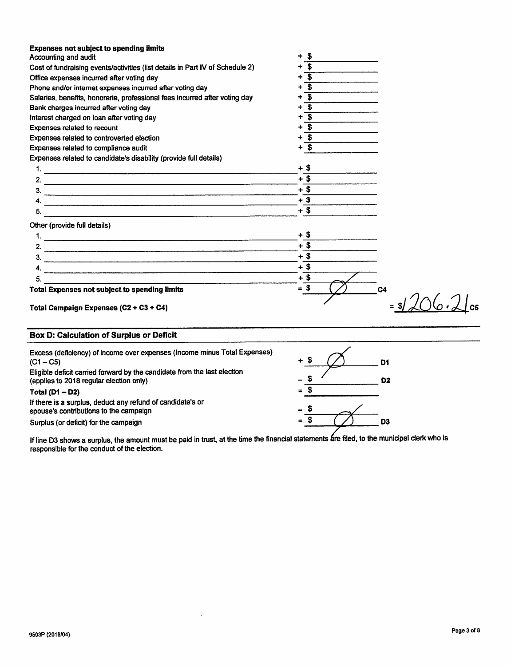| <b>Expenses not subject to spending limits</b>                                 |           |                |
|--------------------------------------------------------------------------------|-----------|----------------|
| Accounting and audit                                                           | - \$<br>۰ |                |
| Cost of fundraising events/activities (list details in Part IV of Schedule 2)  | S         |                |
| Office expenses incurred after voting day                                      | S         |                |
| Phone and/or internet expenses incurred after voting day                       | Ŝ         |                |
| Salaries, benefits, honoraria, professional fees incurred after voting day     | \$        |                |
| Bank charges incurred after voting day                                         | S         |                |
| Interest charged on loan after voting day                                      | \$        |                |
| <b>Expenses related to recount</b>                                             | S         |                |
| Expenses related to controverted election                                      | S         |                |
| Expenses related to compliance audit                                           | \$        |                |
| Expenses related to candidate's disability (provide full details)              |           |                |
|                                                                                | $+$ \$    |                |
|                                                                                | $+$ \$    |                |
|                                                                                | $+$ \$    |                |
| 4.                                                                             | $+$ \$    |                |
| 5.<br><u> 1980 - Johann Stein, martin am Francisco Communication (b. 1980)</u> | $+$ \$    |                |
| Other (provide full details)                                                   |           |                |
|                                                                                | + \$      |                |
|                                                                                | $+$ \$    |                |
| $3.$ $\overline{\phantom{a}}$                                                  | $+$ \$    |                |
| 4.                                                                             | $+$ \$    |                |
| 5.                                                                             | $+$ \$    |                |
| <b>Total Expenses not subject to spending limits</b>                           | $=$ \$    | C <sub>4</sub> |
| Total Campaign Expenses (C2 + C3 + C4)                                         |           |                |

# Box D: Calculation of Surplus or Deficit

| Excess (deficiency) of income over expenses (Income minus Total Expenses)<br>$(C1 - C5)$<br>Eligible deficit carried forward by the candidate from the last election<br>(applies to 2018 regular election only) | $+$ $-$<br>-                                                                                                                                                                                         | D1<br>D <sub>2</sub> |
|-----------------------------------------------------------------------------------------------------------------------------------------------------------------------------------------------------------------|------------------------------------------------------------------------------------------------------------------------------------------------------------------------------------------------------|----------------------|
| Total $(D1 - D2)$<br>If there is a surplus, deduct any refund of candidate's or<br>spouse's contributions to the campaign                                                                                       | $=$<br>$\hskip1.6pt\hskip1.6pt\hskip1.6pt\hskip1.6pt\hskip1.6pt\hskip1.6pt\hskip1.6pt\hskip1.6pt\hskip1.6pt\hskip1.6pt\hskip1.6pt\hskip1.6pt\hskip1.6pt\hskip1.6pt\hskip1.6pt\hskip1.6pt\hskip1.6pt$ |                      |
| Surplus (or deficit) for the campaign                                                                                                                                                                           | $\equiv$                                                                                                                                                                                             | D3                   |

If line D3 shows a surplus, the amount must be paid in trust, at the time the financial statements are filed, to the municipal clerk who is responsible for the conduct of the election.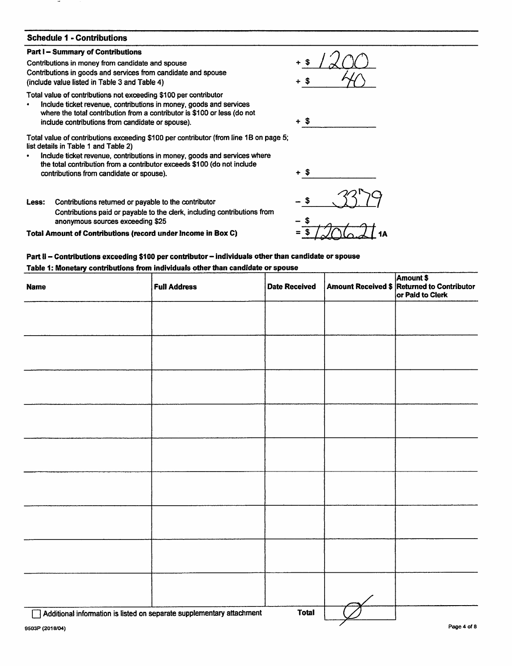# Schedule 1 - Contributions

#### Part I - Summary of Contributions

Contributions in money from candidate and spouse Contributions in goods and services from candidate and spouse (include value listed in Table 3 and Table 4)

Total value of contributions not exceeding \$100 per contributor

Include ticket revenue, contributions in money, goods and services where the total contribution from a contributor is \$100 or less (do not include contributions from candidate or spouse).

Total value of contributions exceeding \$100 per contributor (from line IB on page 5; list details in Table 1 and Table 2)

- Include ticket revenue, contributions in money, goods and services where  $\bullet$ the total contribution firom a contributor exceeds \$100 (do not include contributions from candidate or spouse).  $\longrightarrow$   $\$
- Less: Contributions retumed or payable to the contributor Contributions paid or payable to the clerk, including contributions from anonymous sources exceeding \$25

Total Amount of Contributions (record under Income in Box C)



## Part II - Contributions exceeding \$100 per contributor - individuals other than candidate or spouse Table 1: Monetary contributions from individuals other than candidate or spouse

| <b>Name</b> | <b>Full Address</b>                                                   | <b>Date Received</b> | Amount \$<br>Amount Received \$ Returned to Contributor<br>or Paid to Clerk |
|-------------|-----------------------------------------------------------------------|----------------------|-----------------------------------------------------------------------------|
|             |                                                                       |                      |                                                                             |
|             |                                                                       |                      |                                                                             |
|             |                                                                       |                      |                                                                             |
|             |                                                                       |                      |                                                                             |
|             |                                                                       |                      |                                                                             |
|             |                                                                       |                      |                                                                             |
|             |                                                                       |                      |                                                                             |
|             |                                                                       |                      |                                                                             |
|             |                                                                       |                      |                                                                             |
|             |                                                                       |                      |                                                                             |
|             | Additional information is listed on separate supplementary attachment | <b>Total</b>         |                                                                             |

 $+$  \$  $1200$  $+ 1$   $+ 1$ 

 $+$  \$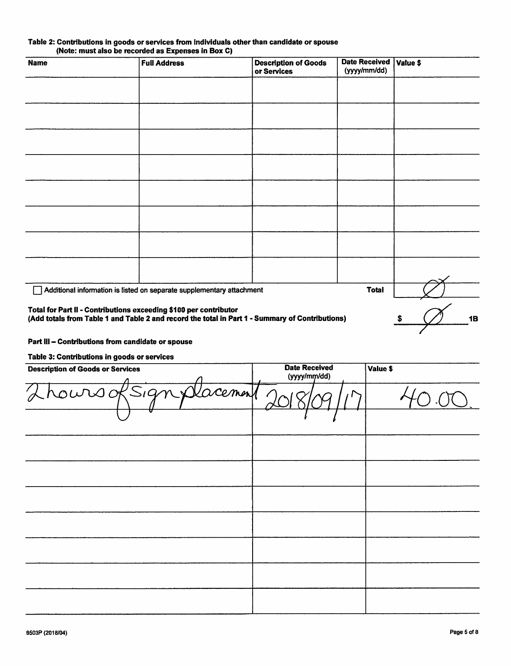|  | Table 2: Contributions in goods or services from individuals other than candidate or spouse |  |  |  |
|--|---------------------------------------------------------------------------------------------|--|--|--|
|  | (Note: must also be recorded as Expenses in Box C)                                          |  |  |  |

| <b>Name</b>                                                       | <b>Full Address</b>                                                                             | <b>Description of Goods</b><br>or Services | <b>Date Received</b><br>(yyyy/mm/dd) | Value \$        |
|-------------------------------------------------------------------|-------------------------------------------------------------------------------------------------|--------------------------------------------|--------------------------------------|-----------------|
|                                                                   |                                                                                                 |                                            |                                      |                 |
|                                                                   |                                                                                                 |                                            |                                      |                 |
|                                                                   |                                                                                                 |                                            |                                      |                 |
|                                                                   |                                                                                                 |                                            |                                      |                 |
|                                                                   |                                                                                                 |                                            |                                      |                 |
|                                                                   |                                                                                                 |                                            |                                      |                 |
|                                                                   |                                                                                                 |                                            |                                      |                 |
|                                                                   |                                                                                                 |                                            |                                      |                 |
|                                                                   | Additional information is listed on separate supplementary attachment                           |                                            | <b>Total</b>                         |                 |
| Total for Part II - Contributions exceeding \$100 per contributor | (Add totals from Table 1 and Table 2 and record the total in Part 1 - Summary of Contributions) |                                            |                                      | <b>1B</b><br>S. |

# Part III - Contributions from candidate or spouse

#### Table 3: Contributions in goods or services

| <b>Description of Goods or Services</b> | <b>Date Received</b><br>(yyyy/mm/dd) | Value \$ |
|-----------------------------------------|--------------------------------------|----------|
| Thours of Sign placement 20             |                                      |          |
|                                         |                                      |          |
|                                         |                                      |          |
|                                         |                                      |          |
|                                         |                                      |          |
|                                         |                                      |          |
|                                         |                                      |          |
|                                         |                                      |          |
|                                         |                                      |          |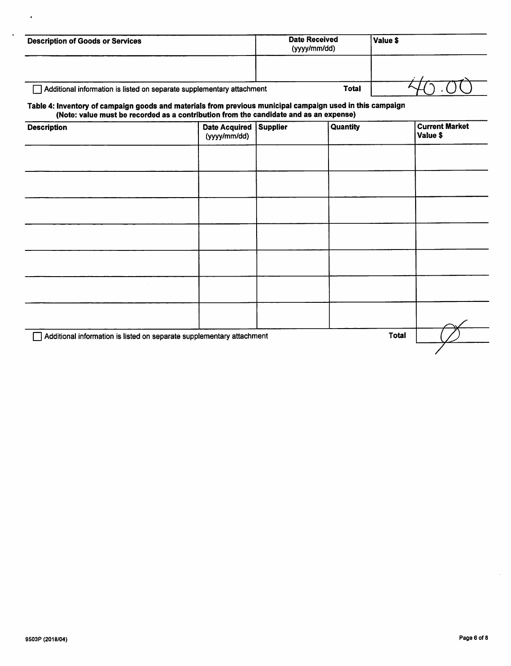| <b>Description of Goods or Services</b>                                                                   | Date Received<br>(yyyy/mm/dd) | Value \$ |
|-----------------------------------------------------------------------------------------------------------|-------------------------------|----------|
|                                                                                                           |                               |          |
| Additional information is listed on separate supplementary attachment                                     | <b>Total</b>                  |          |
| Table 4: Inventory of campaign goods and materials from previous municipal campaign used in this campaign |                               |          |

# (Note: value must be recorded as a contribution from the candidate and as an expense)

| <b>Description</b>                                                    | Date Acquired   Supplier<br>(yyyy/mm/dd) | Quantity | <b>Current Market</b><br>Value \$ |
|-----------------------------------------------------------------------|------------------------------------------|----------|-----------------------------------|
|                                                                       |                                          |          |                                   |
|                                                                       |                                          |          |                                   |
|                                                                       |                                          |          |                                   |
|                                                                       |                                          |          |                                   |
|                                                                       |                                          |          |                                   |
|                                                                       |                                          |          |                                   |
|                                                                       |                                          |          |                                   |
| Additional information is listed on separate supplementary attachment |                                          |          | <b>Total</b>                      |

 $\mathbf{A}$ 

 $\ddot{\phantom{a}}$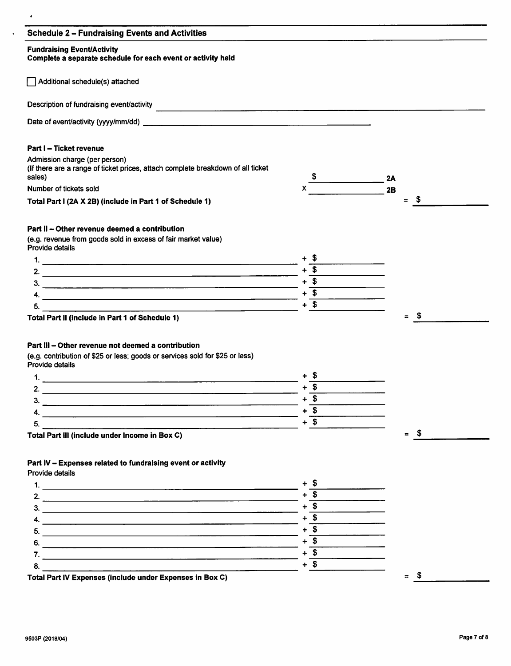| <b>Fundraising Event/Activity</b><br>Complete a separate schedule for each event or activity held                                                                                                                                                                                   |                                    |                             |
|-------------------------------------------------------------------------------------------------------------------------------------------------------------------------------------------------------------------------------------------------------------------------------------|------------------------------------|-----------------------------|
| Additional schedule(s) attached                                                                                                                                                                                                                                                     |                                    |                             |
|                                                                                                                                                                                                                                                                                     |                                    |                             |
|                                                                                                                                                                                                                                                                                     |                                    |                             |
| Part I - Ticket revenue                                                                                                                                                                                                                                                             |                                    |                             |
| Admission charge (per person)                                                                                                                                                                                                                                                       |                                    |                             |
| (If there are a range of ticket prices, attach complete breakdown of all ticket                                                                                                                                                                                                     |                                    |                             |
| sales)                                                                                                                                                                                                                                                                              | $\frac{\sqrt{2}}{2}$               | 2A                          |
| Number of tickets sold                                                                                                                                                                                                                                                              |                                    | $\overline{\phantom{a}}$ 2B |
| Total Part I (2A X 2B) (include in Part 1 of Schedule 1)                                                                                                                                                                                                                            |                                    | $=$ \$                      |
|                                                                                                                                                                                                                                                                                     |                                    |                             |
| Part II - Other revenue deemed a contribution                                                                                                                                                                                                                                       |                                    |                             |
| (e.g. revenue from goods sold in excess of fair market value)                                                                                                                                                                                                                       |                                    |                             |
| Provide details                                                                                                                                                                                                                                                                     |                                    |                             |
|                                                                                                                                                                                                                                                                                     |                                    |                             |
|                                                                                                                                                                                                                                                                                     | $+\overline{\text{3}}$             |                             |
|                                                                                                                                                                                                                                                                                     |                                    |                             |
|                                                                                                                                                                                                                                                                                     | $+\qquad \qquad +$                 |                             |
| 5.                                                                                                                                                                                                                                                                                  | $+$ \$                             |                             |
|                                                                                                                                                                                                                                                                                     |                                    |                             |
| <u> 1980 - Johann Stein, marwolaethau (b. 1980)</u>                                                                                                                                                                                                                                 |                                    |                             |
| Total Part II (include in Part 1 of Schedule 1)                                                                                                                                                                                                                                     |                                    | $=$ \$                      |
|                                                                                                                                                                                                                                                                                     |                                    |                             |
|                                                                                                                                                                                                                                                                                     |                                    |                             |
|                                                                                                                                                                                                                                                                                     |                                    |                             |
|                                                                                                                                                                                                                                                                                     |                                    |                             |
|                                                                                                                                                                                                                                                                                     |                                    |                             |
| 1.<br><u>. Andre de la componentación de la componentación de la componentación de la componentación de la componentació</u>                                                                                                                                                        |                                    |                             |
| Part III - Other revenue not deemed a contribution<br>(e.g. contribution of \$25 or less; goods or services sold for \$25 or less)<br>Provide details<br>2.<br><u> 2008 - Johann Barn, amerikan besteman besteman besteman besteman besteman besteman besteman besteman bestema</u> | $+\overline{\mathsf{S}}$           |                             |
| ٩<br><u> 1980 - Jan Barnett, fransk politiker (d. 1980)</u>                                                                                                                                                                                                                         | $+\overline{\$}$                   |                             |
| 4. $\overline{\phantom{a}}$                                                                                                                                                                                                                                                         | $+$ \$                             |                             |
| 5.                                                                                                                                                                                                                                                                                  | $+ 5$                              |                             |
| Total Part III (include under Income in Box C)                                                                                                                                                                                                                                      |                                    | $=$ \$                      |
|                                                                                                                                                                                                                                                                                     |                                    |                             |
| Part IV - Expenses related to fundraising event or activity                                                                                                                                                                                                                         |                                    |                             |
|                                                                                                                                                                                                                                                                                     |                                    |                             |
| Provide details                                                                                                                                                                                                                                                                     |                                    |                             |
|                                                                                                                                                                                                                                                                                     | $+\overline{\$}$                   |                             |
| 2. $\overline{\phantom{a}}$                                                                                                                                                                                                                                                         | $+\overline{\$}$                   |                             |
| $3.$ $\overline{\phantom{a}}$                                                                                                                                                                                                                                                       |                                    |                             |
| 4. $\overline{\phantom{a}}$                                                                                                                                                                                                                                                         | $+ 5$<br>$+\overline{\mathcal{S}}$ |                             |
|                                                                                                                                                                                                                                                                                     |                                    |                             |
| $6.$ $\overline{\phantom{a}}$                                                                                                                                                                                                                                                       | $+$ \$                             |                             |
| 8.                                                                                                                                                                                                                                                                                  | $+$ \$<br>$+ 5$                    |                             |

 $\mathcal{L}^{\text{max}}$